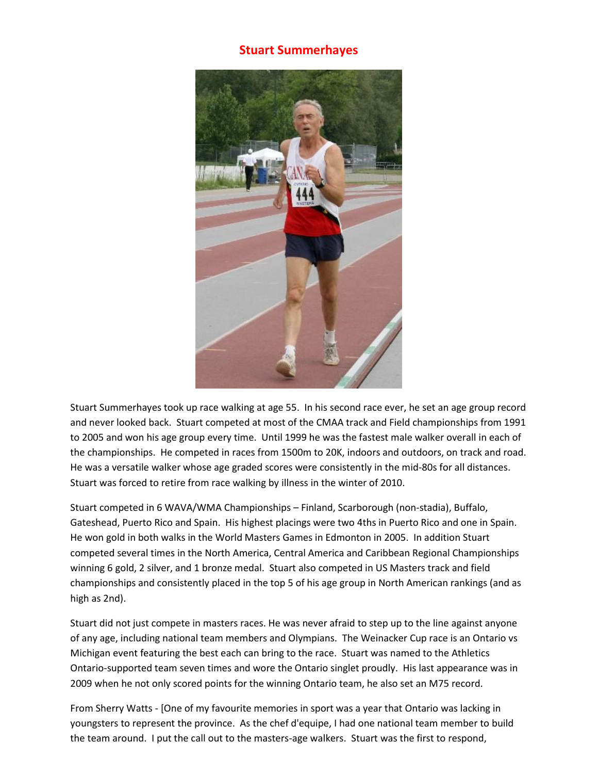## **Stuart Summerhayes**



Stuart Summerhayes took up race walking at age 55. In his second race ever, he set an age group record and never looked back. Stuart competed at most of the CMAA track and Field championships from 1991 to 2005 and won his age group every time. Until 1999 he was the fastest male walker overall in each of the championships. He competed in races from 1500m to 20K, indoors and outdoors, on track and road. He was a versatile walker whose age graded scores were consistently in the mid-80s for all distances. Stuart was forced to retire from race walking by illness in the winter of 2010.

Stuart competed in 6 WAVA/WMA Championships – Finland, Scarborough (non-stadia), Buffalo, Gateshead, Puerto Rico and Spain. His highest placings were two 4ths in Puerto Rico and one in Spain. He won gold in both walks in the World Masters Games in Edmonton in 2005. In addition Stuart competed several times in the North America, Central America and Caribbean Regional Championships winning 6 gold, 2 silver, and 1 bronze medal. Stuart also competed in US Masters track and field championships and consistently placed in the top 5 of his age group in North American rankings (and as high as 2nd).

Stuart did not just compete in masters races. He was never afraid to step up to the line against anyone of any age, including national team members and Olympians. The Weinacker Cup race is an Ontario vs Michigan event featuring the best each can bring to the race. Stuart was named to the Athletics Ontario-supported team seven times and wore the Ontario singlet proudly. His last appearance was in 2009 when he not only scored points for the winning Ontario team, he also set an M75 record.

From Sherry Watts - [One of my favourite memories in sport was a year that Ontario was lacking in youngsters to represent the province. As the chef d'equipe, I had one national team member to build the team around. I put the call out to the masters-age walkers. Stuart was the first to respond,